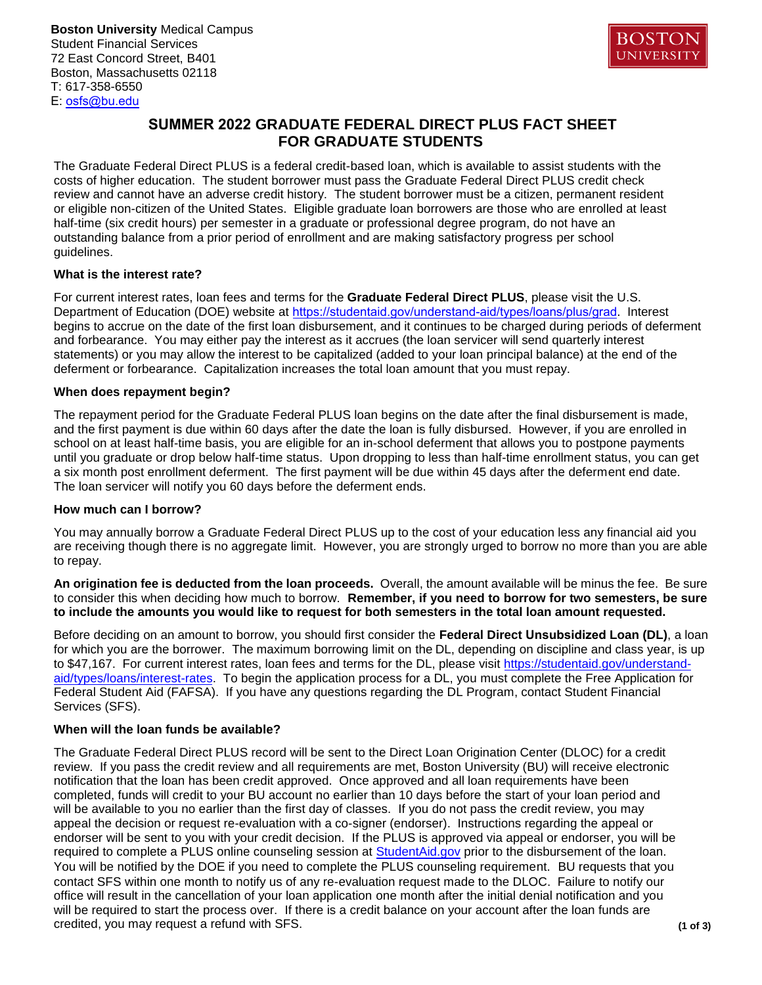**Boston University** Medical Campus Student Financial Services 72 East Concord Street, B401 Boston, Massachusetts 02118 T: 617-358-6550 E: osfs@bu.edu



# **SUMMER 2022 GRADUATE FEDERAL DIRECT PLUS FACT SHEET FOR GRADUATE STUDENTS**

The Graduate Federal Direct PLUS is a federal credit-based loan, which is available to assist students with the costs of higher education. The student borrower must pass the Graduate Federal Direct PLUS credit check review and cannot have an adverse credit history. The student borrower must be a citizen, permanent resident or eligible non-citizen of the United States. Eligible graduate loan borrowers are those who are enrolled at least half-time (six credit hours) per semester in a graduate or professional degree program, do not have an outstanding balance from a prior period of enrollment and are making satisfactory progress per school guidelines.

### **What is the interest rate?**

For current interest rates, loan fees and terms for the **Graduate Federal Direct PLUS**, please visit the U.S. Department of Education (DOE) website at [https://studentaid.gov/understand-aid/types/loans/plus/grad](https://studentaid.gov/understand-aid/types/loans/plus/grad#interest). Interest begins to accrue on the date of the first loan disbursement, and it continues to be charged during periods of deferment and forbearance. You may either pay the interest as it accrues (the loan servicer will send quarterly interest statements) or you may allow the interest to be capitalized (added to your loan principal balance) at the end of the deferment or forbearance. Capitalization increases the total loan amount that you must repay.

### **When does repayment begin?**

The repayment period for the Graduate Federal PLUS loan begins on the date after the final disbursement is made, and the first payment is due within 60 days after the date the loan is fully disbursed. However, if you are enrolled in school on at least half-time basis, you are eligible for an in-school deferment that allows you to postpone payments until you graduate or drop below half-time status. Upon dropping to less than half-time enrollment status, you can get a six month post enrollment deferment. The first payment will be due within 45 days after the deferment end date. The loan servicer will notify you 60 days before the deferment ends.

### **How much can I borrow?**

You may annually borrow a Graduate Federal Direct PLUS up to the cost of your education less any financial aid you are receiving though there is no aggregate limit. However, you are strongly urged to borrow no more than you are able to repay.

**An origination fee is deducted from the loan proceeds.** Overall, the amount available will be minus the fee. Be sure to consider this when deciding how much to borrow. **Remember, if you need to borrow for two semesters, be sure to include the amounts you would like to request for both semesters in the total loan amount requested.**

Before deciding on an amount to borrow, you should first consider the **Federal Direct Unsubsidized Loan (DL)**, a loan for which you are the borrower. The maximum borrowing limit on the [DL, depending on discipline and class year, is up](https://studentaid.gov/understand-aid/types/loans/interest-rates)  [to \\$47,167. For current intere](https://studentaid.gov/understand-aid/types/loans/interest-rates)st rates, loan fees and terms for the DL, please visit https://studentaid.gov/understandaid/types/loans/interest-rates. To begin the application process for a DL, you must complete the Free Application for Federal Student Aid (FAFSA). If you have any questions regarding the DL Program, contact Student Financial Services (SFS).

## **When will the loan funds be available?**

The Graduate Federal Direct PLUS record will be sent to the Direct Loan Origination Center (DLOC) for a credit review. If you pass the credit review and all requirements are met, Boston University (BU) will receive electronic notification that the loan has been credit approved. Once approved and all loan requirements have been completed, funds will credit to your BU account no earlier than 10 days before the start of your loan period and will be available to you no earlier than the first day of classes. If you do not pass the credit review, you may appeal the decision or request re-evaluation with a co-signer (endorser). Instructions regarding the appeal or endorser will be sent to you with your credit decision. If the PLUS is approved via appeal or endorser, you will be required to complete a PLUS online counseling session a[t StudentAid.gov](https://studentaid.gov/) prior to the disbursement of the loan. You will be notified by the DOE if you need to complete the PLUS counseling requirement. BU requests that you contact SFS within one month to notify us of any re-evaluation request made to the DLOC. Failure to notify our office will result in the cancellation of your loan application one month after the initial denial notification and you will be required to start the process over. If there is a credit balance on your account after the loan funds are credited, you may request a refund with SFS. **(1 of 3)**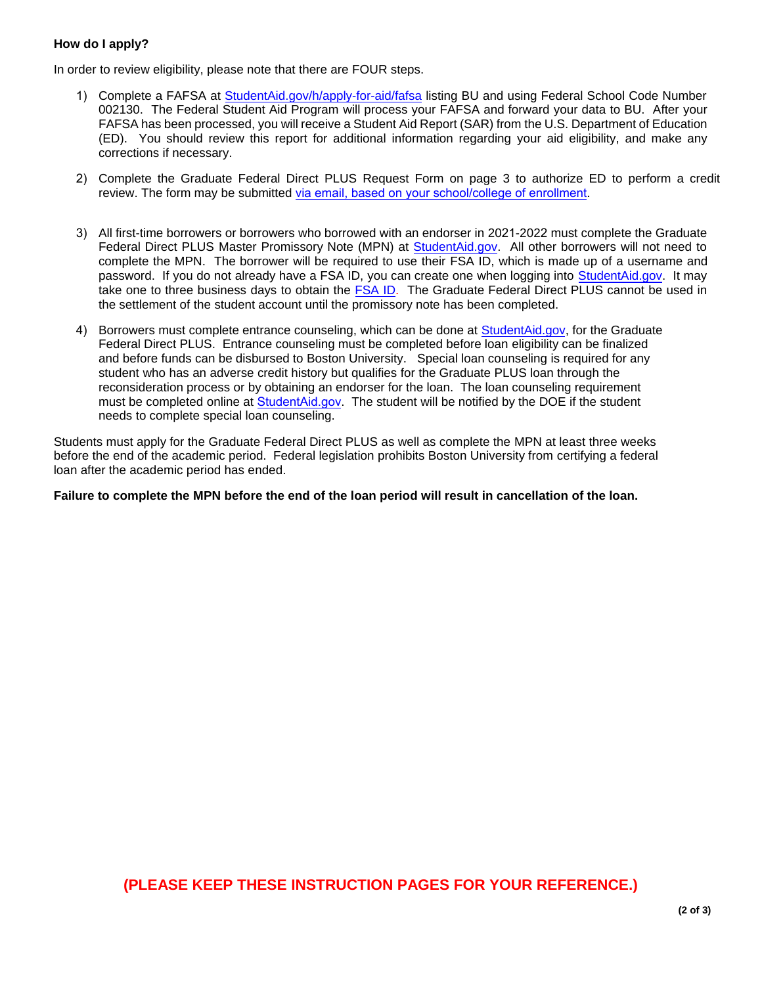## **How do I apply?**

In order to review eligibility, please note that there are FOUR steps.

- 1) Complete a FAFSA at [StudentAid.gov/h/apply-for-aid/fafsa](https://studentaid.gov/h/apply-for-aid/fafsa) listing BU and using Federal School Code Number 002130. The Federal Student Aid Program will process your FAFSA and forward your data to BU. After your FAFSA has been processed, you will receive a Student Aid Report (SAR) from the U.S. Department of Education (ED). You should review this report for additional information regarding your aid eligibility, and make any corrections if necessary.
- 2) Complete the Graduate Federal Direct PLUS Request Form on page 3 to authorize ED to perform a credit review. The form may be submitted [via email, based on your school/college of enrollment.](https://www.bumc.bu.edu/osfs/contact-us/)
- 3) All first-time borrowers or borrowers who borrowed with an endorser in 2021-2022 must complete the Graduate Federal Direct PLUS Master Promissory Note (MPN) at [StudentAid.gov.](https://studentaid.gov/) All other borrowers will not need to complete the MPN. The borrower will be required to use their FSA ID, which is made up of a username and password. If you do not already have a FSA ID, you can create one when logging into [StudentAid.gov.](https://studentaid.gov/) It may take one to three business days to obtain the [FSA ID.](https://studentaid.gov/) The Graduate Federal Direct PLUS cannot be used in the settlement of the student account until the promissory note has been completed.
- 4) Borrowers must complete entrance counseling, which can be done at [StudentAid.gov,](https://studentaid.gov/) for the Graduate Federal Direct PLUS. Entrance counseling must be completed before loan eligibility can be finalized and before funds can be disbursed to Boston University. Special loan counseling is required for any student who has an adverse credit history but qualifies for the Graduate PLUS loan through the reconsideration process or by obtaining an endorser for the loan. The loan counseling requirement must be completed online at [StudentAid.gov](http://www.studentloans.gov/). The student will be notified by the DOE if the student needs to complete special loan counseling.

Students must apply for the Graduate Federal Direct PLUS as well as complete the MPN at least three weeks before the end of the academic period. Federal legislation prohibits Boston University from certifying a federal loan after the academic period has ended.

**Failure to complete the MPN before the end of the loan period will result in cancellation of the loan.**

# **(PLEASE KEEP THESE INSTRUCTION PAGES FOR YOUR REFERENCE.)**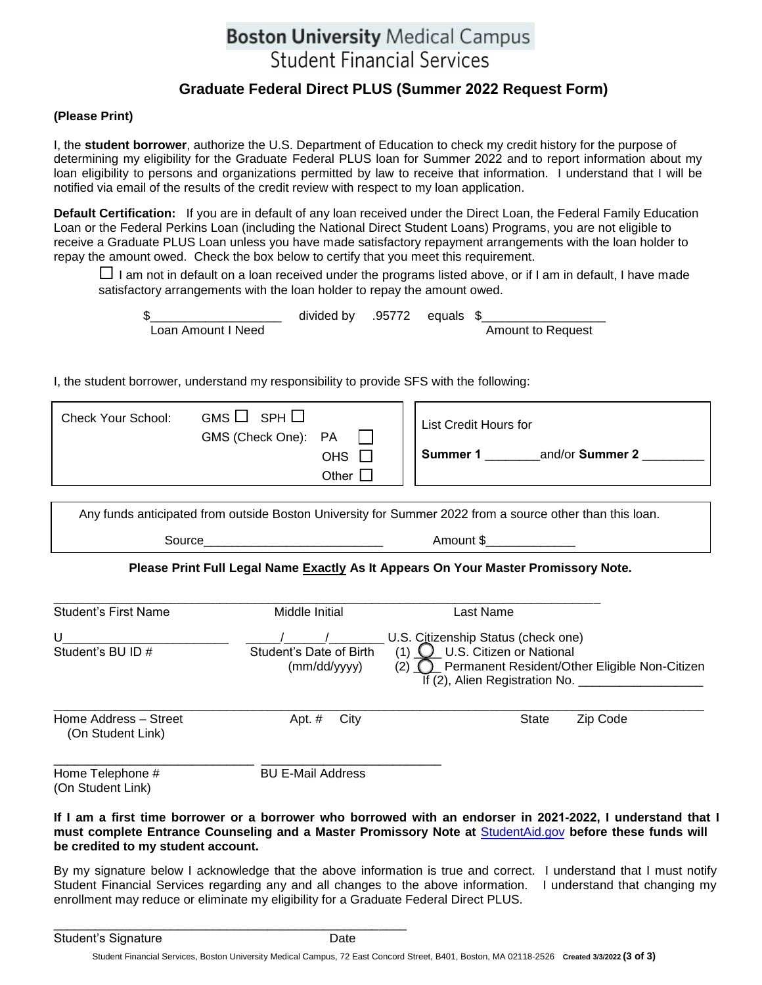# **Boston University Medical Campus Student Financial Services**

# **Graduate Federal Direct PLUS (Summer 2022 Request Form)**

### **(Please Print)**

I, the **student borrower**, authorize the U.S. Department of Education to check my credit history for the purpose of determining my eligibility for the Graduate Federal PLUS loan for Summer 2022 and to report information about my loan eligibility to persons and organizations permitted by law to receive that information. I understand that I will be notified via email of the results of the credit review with respect to my loan application.

**Default Certification:** If you are in default of any loan received under the Direct Loan, the Federal Family Education Loan or the Federal Perkins Loan (including the National Direct Student Loans) Programs, you are not eligible to receive a Graduate PLUS Loan unless you have made satisfactory repayment arrangements with the loan holder to repay the amount owed. Check the box below to certify that you meet this requirement.

 $\Box$  I am not in default on a loan received under the programs listed above, or if I am in default, I have made satisfactory arrangements with the loan holder to repay the amount owed.

|                    | divided by .95772 equals $$$ |  |                          |
|--------------------|------------------------------|--|--------------------------|
| Loan Amount I Need |                              |  | <b>Amount to Request</b> |

I, the student borrower, understand my responsibility to provide SFS with the following:

| GMS □<br>$SPH \Box$<br><b>Check Your School:</b><br>GMS (Check One): PA<br>OHS<br>Other | List Credit Hours for<br>and/or Summer 2<br>Summer 1 |
|-----------------------------------------------------------------------------------------|------------------------------------------------------|
|-----------------------------------------------------------------------------------------|------------------------------------------------------|

Any funds anticipated from outside Boston University for Summer 2022 from a source other than this loan.

Source Amount \$

## Please Print Full Legal Name <u>Exactly</u> As It Appears On Your Master Promissory Note.

| Student's First Name                       | Middle Initial                          | Last Name                                                                                                                                                                             |          |  |  |
|--------------------------------------------|-----------------------------------------|---------------------------------------------------------------------------------------------------------------------------------------------------------------------------------------|----------|--|--|
| U<br>Student's BU ID #                     | Student's Date of Birth<br>(mm/dd/yyyy) | U.S. Citizenship Status (check one)<br>U.S. Citizen or National<br>(1)<br>Eligible Non-Citizen Permanent Resident/Other Eligible Non-Citizen<br>(2)<br>If (2), Alien Registration No. |          |  |  |
| Home Address - Street<br>(On Student Link) | City<br>Apt. $#$                        | <b>State</b>                                                                                                                                                                          | Zip Code |  |  |
| Home Telephone #<br>(On Student Link)      | <b>BU E-Mail Address</b>                |                                                                                                                                                                                       |          |  |  |

### **If I am a first time borrower or a borrower who borrowed with an endorser in 2021-2022, I understand that I must complete Entrance Counseling and a Master Promissory Note at** [StudentAid.](https://studentaid.gov/)gov **before these funds will be credited to my student account.**

By my signature below I acknowledge that the above information is true and correct. I understand that I must notify Student Financial Services regarding any and all changes to the above information. I understand that changing my enrollment may reduce or eliminate my eligibility for a Graduate Federal Direct PLUS.

\_\_\_\_\_\_\_\_\_\_\_\_\_\_\_\_\_\_\_\_\_\_\_\_\_\_\_\_\_\_\_\_\_\_\_\_\_\_\_\_\_\_\_\_\_\_\_\_\_\_\_